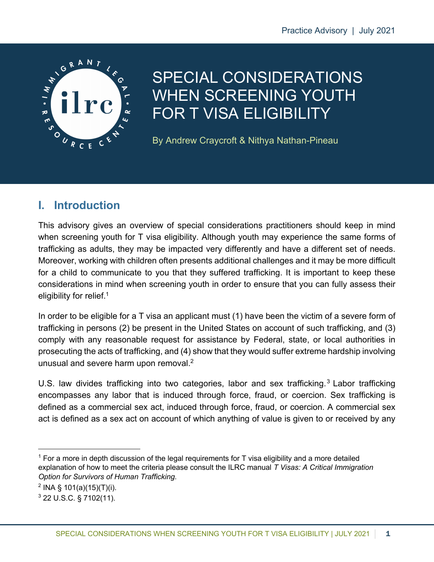

# SPECIAL CONSIDERATIONS WHEN SCREENING YOUTH FOR T VISA ELIGIBILITY

By Andrew Craycroft & Nithya Nathan-Pineau

# **I. Introduction**

This advisory gives an overview of special considerations practitioners should keep in mind when screening youth for T visa eligibility. Although youth may experience the same forms of trafficking as adults, they may be impacted very differently and have a different set of needs. Moreover, working with children often presents additional challenges and it may be more difficult for a child to communicate to you that they suffered trafficking. It is important to keep these considerations in mind when screening youth in order to ensure that you can fully assess their eligibility for relief.<sup>1</sup>

In order to be eligible for a T visa an applicant must (1) have been the victim of a severe form of trafficking in persons (2) be present in the United States on account of such trafficking, and (3) comply with any reasonable request for assistance by Federal, state, or local authorities in prosecuting the acts of trafficking, and (4) show that they would suffer extreme hardship involving unusual and severe harm upon removal.<sup>2</sup>

U.S. law divides trafficking into two categories, labor and sex trafficking.<sup>3</sup> Labor trafficking encompasses any labor that is induced through force, fraud, or coercion. Sex trafficking is defined as a commercial sex act, induced through force, fraud, or coercion. A commercial sex act is defined as a sex act on account of which anything of value is given to or received by any

 $1$  For a more in depth discussion of the legal requirements for T visa eligibility and a more detailed explanation of how to meet the criteria please consult the ILRC manual *T Visas: A Critical Immigration Option for Survivors of Human Trafficking*.

 $2$  INA § 101(a)(15)(T)(i).

<sup>3</sup> 22 U.S.C. § 7102(11).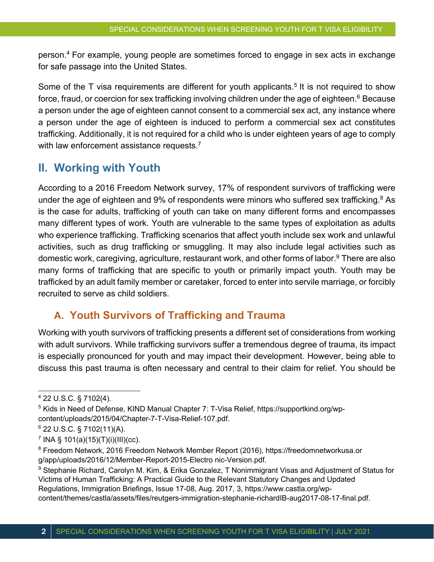person.4 For example, young people are sometimes forced to engage in sex acts in exchange for safe passage into the United States.

Some of the T visa requirements are different for youth applicants.<sup>5</sup> It is not required to show force, fraud, or coercion for sex trafficking involving children under the age of eighteen.<sup>6</sup> Because a person under the age of eighteen cannot consent to a commercial sex act, any instance where a person under the age of eighteen is induced to perform a commercial sex act constitutes trafficking. Additionally, it is not required for a child who is under eighteen years of age to comply with law enforcement assistance requests.<sup>7</sup>

# **II. Working with Youth**

According to a 2016 Freedom Network survey, 17% of respondent survivors of trafficking were under the age of eighteen and 9% of respondents were minors who suffered sex trafficking. $8$  As is the case for adults, trafficking of youth can take on many different forms and encompasses many different types of work. Youth are vulnerable to the same types of exploitation as adults who experience trafficking. Trafficking scenarios that affect youth include sex work and unlawful activities, such as drug trafficking or smuggling. It may also include legal activities such as domestic work, caregiving, agriculture, restaurant work, and other forms of labor.9 There are also many forms of trafficking that are specific to youth or primarily impact youth. Youth may be trafficked by an adult family member or caretaker, forced to enter into servile marriage, or forcibly recruited to serve as child soldiers.

### **A. Youth Survivors of Trafficking and Trauma**

Working with youth survivors of trafficking presents a different set of considerations from working with adult survivors. While trafficking survivors suffer a tremendous degree of trauma, its impact is especially pronounced for youth and may impact their development. However, being able to discuss this past trauma is often necessary and central to their claim for relief. You should be

<sup>4</sup> 22 U.S.C. § 7102(4).

<sup>5</sup> Kids in Need of Defense, KIND Manual Chapter 7: T-Visa Relief, https://supportkind.org/wpcontent/uploads/2015/04/Chapter-7-T-Visa-Relief-107.pdf.

<sup>6</sup> 22 U.S.C. § 7102(11)(A).

 $^7$  INA § 101(a)(15)(T)(i)(III)(cc).

<sup>8</sup> Freedom Network, 2016 Freedom Network Member Report (2016), https://freedomnetworkusa.or g/app/uploads/2016/12/Member-Report-2015-Electro nic-Version.pdf.

<sup>&</sup>lt;sup>9</sup> Stephanie Richard, Carolyn M. Kim, & Erika Gonzalez, T Nonimmigrant Visas and Adjustment of Status for Victims of Human Trafficking: A Practical Guide to the Relevant Statutory Changes and Updated Regulations, Immigration Briefings, Issue 17-08, Aug. 2017, 3, https://www.castla.org/wpcontent/themes/castla/assets/files/reutgers-immigration-stephanie-richardIB-aug2017-08-17-final.pdf.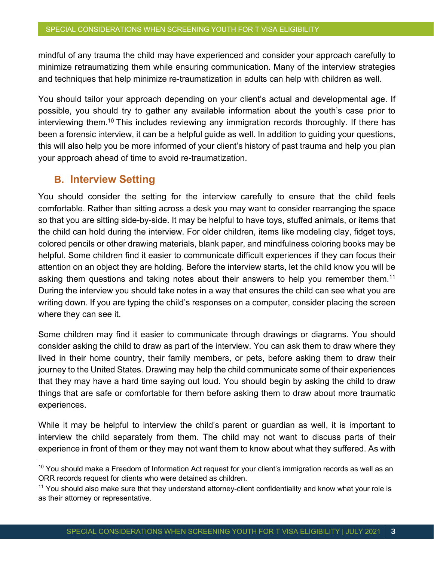mindful of any trauma the child may have experienced and consider your approach carefully to minimize retraumatizing them while ensuring communication. Many of the interview strategies and techniques that help minimize re-traumatization in adults can help with children as well.

You should tailor your approach depending on your client's actual and developmental age. If possible, you should try to gather any available information about the youth's case prior to interviewing them.<sup>10</sup> This includes reviewing any immigration records thoroughly. If there has been a forensic interview, it can be a helpful guide as well. In addition to guiding your questions, this will also help you be more informed of your client's history of past trauma and help you plan your approach ahead of time to avoid re-traumatization.

### **B. Interview Setting**

You should consider the setting for the interview carefully to ensure that the child feels comfortable. Rather than sitting across a desk you may want to consider rearranging the space so that you are sitting side-by-side. It may be helpful to have toys, stuffed animals, or items that the child can hold during the interview. For older children, items like modeling clay, fidget toys, colored pencils or other drawing materials, blank paper, and mindfulness coloring books may be helpful. Some children find it easier to communicate difficult experiences if they can focus their attention on an object they are holding. Before the interview starts, let the child know you will be asking them questions and taking notes about their answers to help you remember them.<sup>11</sup> During the interview you should take notes in a way that ensures the child can see what you are writing down. If you are typing the child's responses on a computer, consider placing the screen where they can see it.

Some children may find it easier to communicate through drawings or diagrams. You should consider asking the child to draw as part of the interview. You can ask them to draw where they lived in their home country, their family members, or pets, before asking them to draw their journey to the United States. Drawing may help the child communicate some of their experiences that they may have a hard time saying out loud. You should begin by asking the child to draw things that are safe or comfortable for them before asking them to draw about more traumatic experiences.

While it may be helpful to interview the child's parent or guardian as well, it is important to interview the child separately from them. The child may not want to discuss parts of their experience in front of them or they may not want them to know about what they suffered. As with

 $10$  You should make a Freedom of Information Act request for your client's immigration records as well as an ORR records request for clients who were detained as children.

<sup>&</sup>lt;sup>11</sup> You should also make sure that they understand attorney-client confidentiality and know what your role is as their attorney or representative.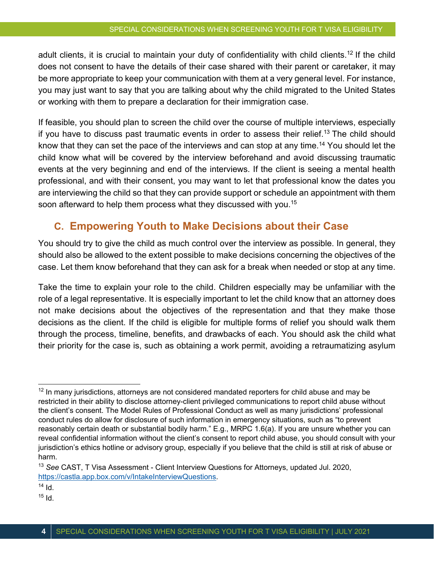adult clients, it is crucial to maintain your duty of confidentiality with child clients.<sup>12</sup> If the child does not consent to have the details of their case shared with their parent or caretaker, it may be more appropriate to keep your communication with them at a very general level. For instance, you may just want to say that you are talking about why the child migrated to the United States or working with them to prepare a declaration for their immigration case.

If feasible, you should plan to screen the child over the course of multiple interviews, especially if you have to discuss past traumatic events in order to assess their relief.<sup>13</sup> The child should know that they can set the pace of the interviews and can stop at any time.14 You should let the child know what will be covered by the interview beforehand and avoid discussing traumatic events at the very beginning and end of the interviews. If the client is seeing a mental health professional, and with their consent, you may want to let that professional know the dates you are interviewing the child so that they can provide support or schedule an appointment with them soon afterward to help them process what they discussed with you.<sup>15</sup>

### **C. Empowering Youth to Make Decisions about their Case**

You should try to give the child as much control over the interview as possible. In general, they should also be allowed to the extent possible to make decisions concerning the objectives of the case. Let them know beforehand that they can ask for a break when needed or stop at any time.

Take the time to explain your role to the child. Children especially may be unfamiliar with the role of a legal representative. It is especially important to let the child know that an attorney does not make decisions about the objectives of the representation and that they make those decisions as the client. If the child is eligible for multiple forms of relief you should walk them through the process, timeline, benefits, and drawbacks of each. You should ask the child what their priority for the case is, such as obtaining a work permit, avoiding a retraumatizing asylum

 $15$  Id.

 $12$  In many jurisdictions, attorneys are not considered mandated reporters for child abuse and may be restricted in their ability to disclose attorney-client privileged communications to report child abuse without the client's consent. The Model Rules of Professional Conduct as well as many jurisdictions' professional conduct rules do allow for disclosure of such information in emergency situations, such as "to prevent reasonably certain death or substantial bodily harm." E.g., MRPC 1.6(a). If you are unsure whether you can reveal confidential information without the client's consent to report child abuse, you should consult with your jurisdiction's ethics hotline or advisory group, especially if you believe that the child is still at risk of abuse or harm.

<sup>13</sup> *See* CAST, T Visa Assessment - Client Interview Questions for Attorneys, updated Jul. 2020, https://castla.app.box.com/v/IntakeInterviewQuestions.

 $14$  Id.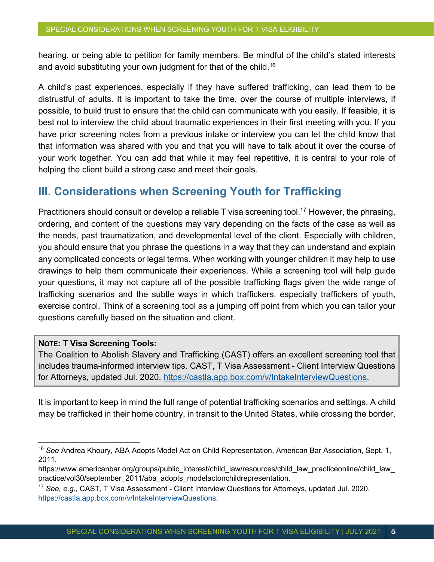hearing, or being able to petition for family members. Be mindful of the child's stated interests and avoid substituting your own judgment for that of the child.<sup>16</sup>

A child's past experiences, especially if they have suffered trafficking, can lead them to be distrustful of adults. It is important to take the time, over the course of multiple interviews, if possible, to build trust to ensure that the child can communicate with you easily. If feasible, it is best not to interview the child about traumatic experiences in their first meeting with you. If you have prior screening notes from a previous intake or interview you can let the child know that that information was shared with you and that you will have to talk about it over the course of your work together. You can add that while it may feel repetitive, it is central to your role of helping the client build a strong case and meet their goals.

## **III. Considerations when Screening Youth for Trafficking**

Practitioners should consult or develop a reliable T visa screening tool.<sup>17</sup> However, the phrasing, ordering, and content of the questions may vary depending on the facts of the case as well as the needs, past traumatization, and developmental level of the client. Especially with children, you should ensure that you phrase the questions in a way that they can understand and explain any complicated concepts or legal terms. When working with younger children it may help to use drawings to help them communicate their experiences. While a screening tool will help guide your questions, it may not capture all of the possible trafficking flags given the wide range of trafficking scenarios and the subtle ways in which traffickers, especially traffickers of youth, exercise control. Think of a screening tool as a jumping off point from which you can tailor your questions carefully based on the situation and client.

#### **NOTE: T Visa Screening Tools:**

The Coalition to Abolish Slavery and Trafficking (CAST) offers an excellent screening tool that includes trauma-informed interview tips. CAST, T Visa Assessment - Client Interview Questions for Attorneys, updated Jul. 2020, https://castla.app.box.com/v/IntakeInterviewQuestions.

It is important to keep in mind the full range of potential trafficking scenarios and settings. A child may be trafficked in their home country, in transit to the United States, while crossing the border,

<sup>16</sup> *See* Andrea Khoury, ABA Adopts Model Act on Child Representation, American Bar Association, Sept. 1, 2011,

https://www.americanbar.org/groups/public\_interest/child\_law/resources/child\_law\_practiceonline/child\_law practice/vol30/september\_2011/aba\_adopts\_modelactonchildrepresentation.

<sup>17</sup> *See, e.g.*, CAST, T Visa Assessment - Client Interview Questions for Attorneys, updated Jul. 2020, https://castla.app.box.com/v/IntakeInterviewQuestions.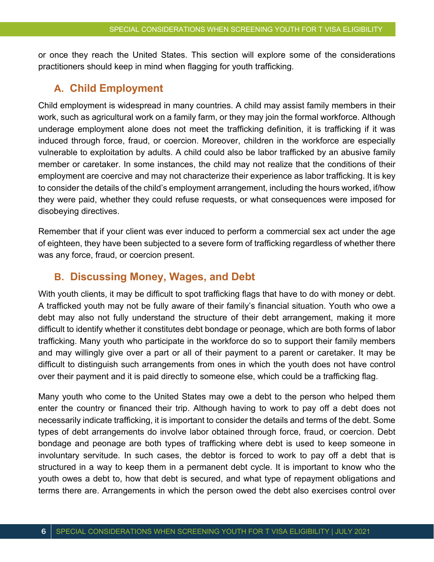or once they reach the United States. This section will explore some of the considerations practitioners should keep in mind when flagging for youth trafficking.

### **A. Child Employment**

Child employment is widespread in many countries. A child may assist family members in their work, such as agricultural work on a family farm, or they may join the formal workforce. Although underage employment alone does not meet the trafficking definition, it is trafficking if it was induced through force, fraud, or coercion. Moreover, children in the workforce are especially vulnerable to exploitation by adults. A child could also be labor trafficked by an abusive family member or caretaker. In some instances, the child may not realize that the conditions of their employment are coercive and may not characterize their experience as labor trafficking. It is key to consider the details of the child's employment arrangement, including the hours worked, if/how they were paid, whether they could refuse requests, or what consequences were imposed for disobeying directives.

Remember that if your client was ever induced to perform a commercial sex act under the age of eighteen, they have been subjected to a severe form of trafficking regardless of whether there was any force, fraud, or coercion present.

### **B. Discussing Money, Wages, and Debt**

With youth clients, it may be difficult to spot trafficking flags that have to do with money or debt. A trafficked youth may not be fully aware of their family's financial situation. Youth who owe a debt may also not fully understand the structure of their debt arrangement, making it more difficult to identify whether it constitutes debt bondage or peonage, which are both forms of labor trafficking. Many youth who participate in the workforce do so to support their family members and may willingly give over a part or all of their payment to a parent or caretaker. It may be difficult to distinguish such arrangements from ones in which the youth does not have control over their payment and it is paid directly to someone else, which could be a trafficking flag.

Many youth who come to the United States may owe a debt to the person who helped them enter the country or financed their trip. Although having to work to pay off a debt does not necessarily indicate trafficking, it is important to consider the details and terms of the debt. Some types of debt arrangements do involve labor obtained through force, fraud, or coercion. Debt bondage and peonage are both types of trafficking where debt is used to keep someone in involuntary servitude. In such cases, the debtor is forced to work to pay off a debt that is structured in a way to keep them in a permanent debt cycle. It is important to know who the youth owes a debt to, how that debt is secured, and what type of repayment obligations and terms there are. Arrangements in which the person owed the debt also exercises control over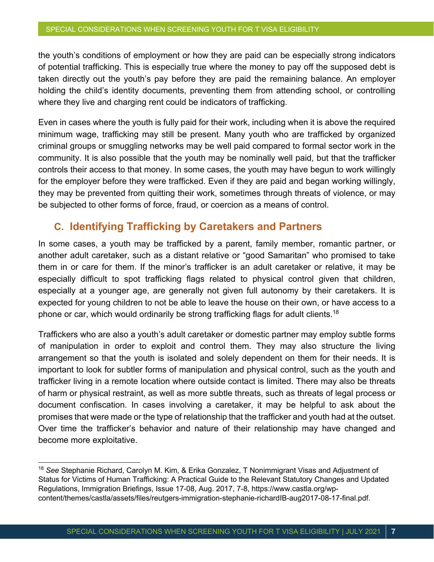the youth's conditions of employment or how they are paid can be especially strong indicators of potential trafficking. This is especially true where the money to pay off the supposed debt is taken directly out the youth's pay before they are paid the remaining balance. An employer holding the child's identity documents, preventing them from attending school, or controlling where they live and charging rent could be indicators of trafficking.

Even in cases where the youth is fully paid for their work, including when it is above the required minimum wage, trafficking may still be present. Many youth who are trafficked by organized criminal groups or smuggling networks may be well paid compared to formal sector work in the community. It is also possible that the youth may be nominally well paid, but that the trafficker controls their access to that money. In some cases, the youth may have begun to work willingly for the employer before they were trafficked. Even if they are paid and began working willingly, they may be prevented from quitting their work, sometimes through threats of violence, or may be subjected to other forms of force, fraud, or coercion as a means of control.

### **C. Identifying Trafficking by Caretakers and Partners**

In some cases, a youth may be trafficked by a parent, family member, romantic partner, or another adult caretaker, such as a distant relative or "good Samaritan" who promised to take them in or care for them. If the minor's trafficker is an adult caretaker or relative, it may be especially difficult to spot trafficking flags related to physical control given that children, especially at a younger age, are generally not given full autonomy by their caretakers. It is expected for young children to not be able to leave the house on their own, or have access to a phone or car, which would ordinarily be strong trafficking flags for adult clients.<sup>18</sup>

Traffickers who are also a youth's adult caretaker or domestic partner may employ subtle forms of manipulation in order to exploit and control them. They may also structure the living arrangement so that the youth is isolated and solely dependent on them for their needs. It is important to look for subtler forms of manipulation and physical control, such as the youth and trafficker living in a remote location where outside contact is limited. There may also be threats of harm or physical restraint, as well as more subtle threats, such as threats of legal process or document confiscation. In cases involving a caretaker, it may be helpful to ask about the promises that were made or the type of relationship that the trafficker and youth had at the outset. Over time the trafficker's behavior and nature of their relationship may have changed and become more exploitative.

<sup>18</sup> *See* Stephanie Richard, Carolyn M. Kim, & Erika Gonzalez, T Nonimmigrant Visas and Adjustment of Status for Victims of Human Trafficking: A Practical Guide to the Relevant Statutory Changes and Updated Regulations, Immigration Briefings, Issue 17-08, Aug. 2017, 7-8, https://www.castla.org/wpcontent/themes/castla/assets/files/reutgers-immigration-stephanie-richardIB-aug2017-08-17-final.pdf.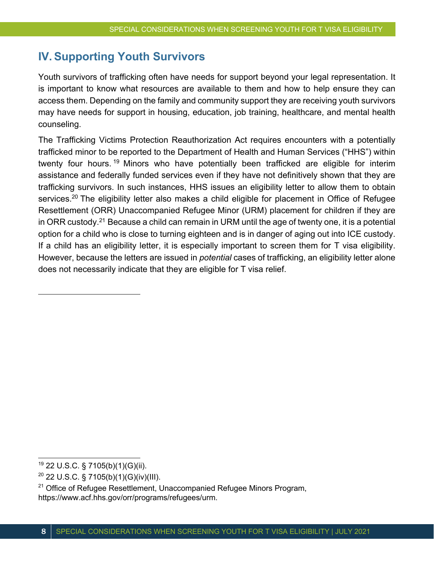# **IV. Supporting Youth Survivors**

Youth survivors of trafficking often have needs for support beyond your legal representation. It is important to know what resources are available to them and how to help ensure they can access them. Depending on the family and community support they are receiving youth survivors may have needs for support in housing, education, job training, healthcare, and mental health counseling.

The Trafficking Victims Protection Reauthorization Act requires encounters with a potentially trafficked minor to be reported to the Department of Health and Human Services ("HHS") within twenty four hours. <sup>19</sup> Minors who have potentially been trafficked are eligible for interim assistance and federally funded services even if they have not definitively shown that they are trafficking survivors. In such instances, HHS issues an eligibility letter to allow them to obtain services.<sup>20</sup> The eligibility letter also makes a child eligible for placement in Office of Refugee Resettlement (ORR) Unaccompanied Refugee Minor (URM) placement for children if they are in ORR custody.21 Because a child can remain in URM until the age of twenty one, it is a potential option for a child who is close to turning eighteen and is in danger of aging out into ICE custody. If a child has an eligibility letter, it is especially important to screen them for T visa eligibility. However, because the letters are issued in *potential* cases of trafficking, an eligibility letter alone does not necessarily indicate that they are eligible for T visa relief.

 $19$  22 U.S.C. § 7105(b)(1)(G)(ii).

 $20$  22 U.S.C. § 7105(b)(1)(G)(iv)(III).

 $21$  Office of Refugee Resettlement, Unaccompanied Refugee Minors Program, https://www.acf.hhs.gov/orr/programs/refugees/urm.